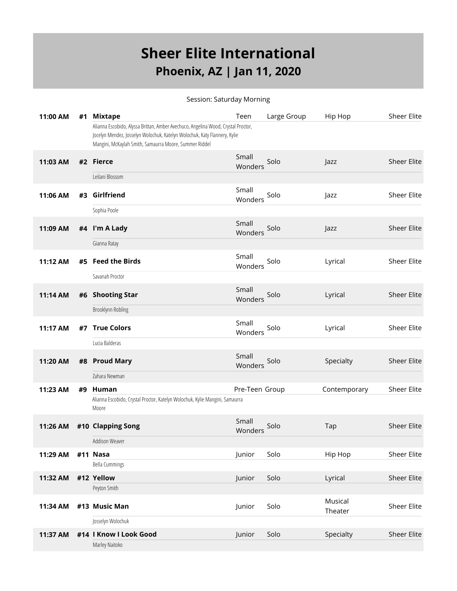## **Sheer Elite International Phoenix, AZ | Jan 11, 2020**

## Session: Saturday Morning

| 11:00 AM | #1 | <b>Mixtape</b>                                                                                                                                                                                                           | Teen             | Large Group | Hip Hop            | <b>Sheer Elite</b> |
|----------|----|--------------------------------------------------------------------------------------------------------------------------------------------------------------------------------------------------------------------------|------------------|-------------|--------------------|--------------------|
|          |    | Alianna Escobido, Alyssa Brittan, Amber Avechuco, Angelina Wood, Crystal Proctor,<br>Jocelyn Mendez, Josselyn Wolochuk, Katelyn Wolochuk, Katy Flannery, Kylie<br>Mangini, McKaylah Smith, Samaurra Moore, Summer Riddel |                  |             |                    |                    |
| 11:03 AM |    | #2 Fierce                                                                                                                                                                                                                | Small<br>Wonders | Solo        | Jazz               | <b>Sheer Elite</b> |
|          |    | Leilani Blossom                                                                                                                                                                                                          |                  |             |                    |                    |
| 11:06 AM | #3 | Girlfriend                                                                                                                                                                                                               | Small<br>Wonders | Solo        | Jazz               | Sheer Elite        |
|          |    | Sophia Poole                                                                                                                                                                                                             |                  |             |                    |                    |
| 11:09 AM |    | #4 I'm A Lady                                                                                                                                                                                                            | Small<br>Wonders | Solo        | Jazz               | <b>Sheer Elite</b> |
|          |    | Gianna Ratay                                                                                                                                                                                                             |                  |             |                    |                    |
| 11:12 AM | #5 | <b>Feed the Birds</b>                                                                                                                                                                                                    | Small<br>Wonders | Solo        | Lyrical            | Sheer Elite        |
|          |    | Savanah Proctor                                                                                                                                                                                                          |                  |             |                    |                    |
| 11:14 AM | #6 | <b>Shooting Star</b>                                                                                                                                                                                                     | Small<br>Wonders | Solo        | Lyrical            | <b>Sheer Elite</b> |
|          |    | Brooklynn Robling                                                                                                                                                                                                        |                  |             |                    |                    |
| 11:17 AM | #7 | <b>True Colors</b>                                                                                                                                                                                                       | Small<br>Wonders | Solo        | Lyrical            | <b>Sheer Elite</b> |
|          |    | Lucia Balderas                                                                                                                                                                                                           |                  |             |                    |                    |
| 11:20 AM |    | #8 Proud Mary                                                                                                                                                                                                            | Small<br>Wonders | Solo        | Specialty          | <b>Sheer Elite</b> |
|          |    | Zahara Newman                                                                                                                                                                                                            |                  |             |                    |                    |
| 11:23 AM | #9 | Human                                                                                                                                                                                                                    | Pre-Teen Group   |             | Contemporary       | Sheer Elite        |
|          |    | Alianna Escobido, Crystal Proctor, Katelyn Wolochuk, Kylie Mangini, Samaurra<br>Moore                                                                                                                                    |                  |             |                    |                    |
| 11:26 AM |    | #10 Clapping Song                                                                                                                                                                                                        | Small<br>Wonders | Solo        | Tap                | <b>Sheer Elite</b> |
|          |    | Addison Weaver                                                                                                                                                                                                           |                  |             |                    |                    |
| 11:29 AM |    | #11 Nasa                                                                                                                                                                                                                 | Junior           | Solo        | Hip Hop            | <b>Sheer Elite</b> |
|          |    | <b>Bella Cummings</b>                                                                                                                                                                                                    |                  |             |                    |                    |
| 11:32 AM |    | #12 Yellow                                                                                                                                                                                                               | Junior           | Solo        | Lyrical            | Sheer Elite        |
|          |    | Peyton Smith                                                                                                                                                                                                             |                  |             |                    |                    |
| 11:34 AM |    | #13 Music Man                                                                                                                                                                                                            | Junior           | Solo        | Musical<br>Theater | Sheer Elite        |
|          |    | Josselyn Wolochuk                                                                                                                                                                                                        |                  |             |                    |                    |
| 11:37 AM |    | #14   Know   Look Good<br>Marley Naitoko                                                                                                                                                                                 | Junior           | Solo        | Specialty          | <b>Sheer Elite</b> |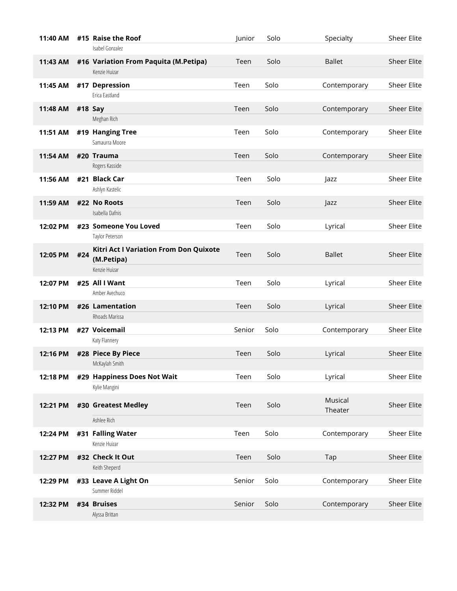| 11:40 AM |         | #15 Raise the Roof                     | Junior | Solo | Specialty     | Sheer Elite        |
|----------|---------|----------------------------------------|--------|------|---------------|--------------------|
|          |         | Isabel Gonzalez                        |        |      |               |                    |
| 11:43 AM |         | #16 Variation From Paquita (M.Petipa)  | Teen   | Solo | <b>Ballet</b> | <b>Sheer Elite</b> |
|          |         | Kenzie Huizar                          |        |      |               |                    |
| 11:45 AM |         | #17 Depression                         | Teen   | Solo | Contemporary  | Sheer Elite        |
|          |         | Erica Eastland                         |        |      |               |                    |
| 11:48 AM | #18 Say |                                        | Teen   | Solo | Contemporary  | <b>Sheer Elite</b> |
|          |         | Meghan Rich                            |        |      |               |                    |
| 11:51 AM |         | #19 Hanging Tree                       | Teen   | Solo | Contemporary  | Sheer Elite        |
|          |         | Samaurra Moore                         |        |      |               |                    |
| 11:54 AM |         | #20 Trauma                             | Teen   | Solo | Contemporary  | <b>Sheer Elite</b> |
|          |         | Rogers Kasside                         |        |      |               |                    |
| 11:56 AM |         | #21 Black Car                          | Teen   | Solo | <b>azz</b>    | <b>Sheer Elite</b> |
|          |         | Ashlyn Kastelic                        |        |      |               |                    |
| 11:59 AM |         | #22 No Roots                           | Teen   | Solo | Jazz          | <b>Sheer Elite</b> |
|          |         | Isabella Dafnis                        |        |      |               |                    |
| 12:02 PM |         | #23 Someone You Loved                  | Teen   | Solo | Lyrical       | <b>Sheer Elite</b> |
|          |         | Taylor Peterson                        |        |      |               |                    |
| 12:05 PM | #24     | Kitri Act I Variation From Don Quixote | Teen   | Solo | <b>Ballet</b> | <b>Sheer Elite</b> |
|          |         | (M.Petipa)                             |        |      |               |                    |
|          |         | Kenzie Huizar                          |        |      |               |                    |
| 12:07 PM |         | #25 All I Want                         | Teen   | Solo | Lyrical       | Sheer Elite        |
|          |         | Amber Avechuco                         |        |      |               |                    |
| 12:10 PM |         | #26 Lamentation                        | Teen   | Solo | Lyrical       | <b>Sheer Elite</b> |
|          |         | Rhoads Marissa                         |        |      |               |                    |
| 12:13 PM |         | #27 Voicemail                          | Senior | Solo | Contemporary  | Sheer Elite        |
|          |         | Katy Flannery                          |        |      |               |                    |
| 12:16 PM |         | #28 Piece By Piece                     | Teen   | Solo | Lyrical       | <b>Sheer Elite</b> |
|          |         | McKaylah Smith                         |        |      |               |                    |
| 12:18 PM |         | #29 Happiness Does Not Wait            | Teen   | Solo | Lyrical       | Sheer Elite        |
|          |         | Kylie Mangini                          |        |      |               |                    |
| 12:21 PM |         | #30 Greatest Medley                    | Teen   | Solo | Musical       | <b>Sheer Elite</b> |
|          |         |                                        |        |      | Theater       |                    |
|          |         | Ashlee Rich                            |        |      |               |                    |
| 12:24 PM |         | #31 Falling Water                      | Teen   | Solo | Contemporary  | <b>Sheer Elite</b> |
|          |         | Kenzie Huizar                          |        |      |               |                    |
| 12:27 PM |         | #32 Check It Out                       | Teen   | Solo | Tap           | <b>Sheer Elite</b> |
|          |         | Keith Sheperd                          |        |      |               |                    |
| 12:29 PM |         | #33 Leave A Light On                   | Senior | Solo | Contemporary  | Sheer Elite        |
|          |         | Summer Riddel                          |        |      |               |                    |
| 12:32 PM |         | #34 Bruises                            | Senior | Solo | Contemporary  | <b>Sheer Elite</b> |
|          |         | Alyssa Brittan                         |        |      |               |                    |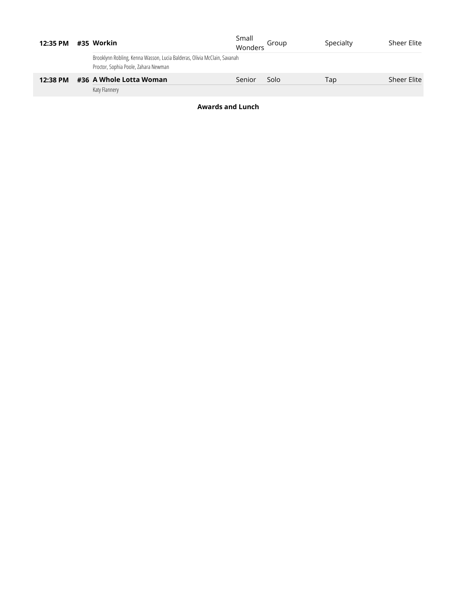| 12:35 PM |  | #35 Workin                                                                                                       | Small<br>Wonders | Group | Specialty | <b>Sheer Elite</b> |
|----------|--|------------------------------------------------------------------------------------------------------------------|------------------|-------|-----------|--------------------|
|          |  | Brooklynn Robling, Kenna Wasson, Lucia Balderas, Olivia McClain, Savanah<br>Proctor, Sophia Poole, Zahara Newman |                  |       |           |                    |
| 12:38 PM |  | #36 A Whole Lotta Woman                                                                                          | Senior           | Solo  | Tap       | <b>Sheer Elite</b> |
|          |  | Katy Flannery                                                                                                    |                  |       |           |                    |

**Awards and Lunch**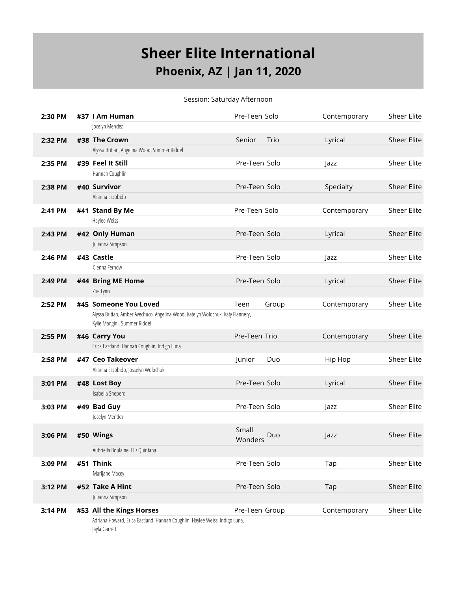## **Sheer Elite International Phoenix, AZ | Jan 11, 2020**

Session: Saturday Afternoon

| 2:30 PM |  | #37   Am Human                                                                                                  | Pre-Teen Solo    |       | Contemporary | <b>Sheer Elite</b> |
|---------|--|-----------------------------------------------------------------------------------------------------------------|------------------|-------|--------------|--------------------|
|         |  | Jocelyn Mendez                                                                                                  |                  |       |              |                    |
| 2:32 PM |  | #38 The Crown                                                                                                   | Senior           | Trio  | Lyrical      | <b>Sheer Elite</b> |
|         |  | Alyssa Brittan, Angelina Wood, Summer Riddel                                                                    |                  |       |              |                    |
| 2:35 PM |  | #39 Feel It Still                                                                                               | Pre-Teen Solo    |       | Jazz         | <b>Sheer Elite</b> |
|         |  | Hannah Coughlin                                                                                                 |                  |       |              |                    |
| 2:38 PM |  | #40 Survivor                                                                                                    | Pre-Teen Solo    |       | Specialty    | <b>Sheer Elite</b> |
|         |  | Alianna Escobido                                                                                                |                  |       |              |                    |
| 2:41 PM |  | #41 Stand By Me                                                                                                 | Pre-Teen Solo    |       | Contemporary | <b>Sheer Elite</b> |
|         |  | Haylee Weiss                                                                                                    |                  |       |              |                    |
| 2:43 PM |  | #42 Only Human                                                                                                  | Pre-Teen Solo    |       | Lyrical      | <b>Sheer Elite</b> |
|         |  | Julianna Simpson                                                                                                |                  |       |              |                    |
| 2:46 PM |  | #43 Castle                                                                                                      | Pre-Teen Solo    |       | <b>azz</b>   | <b>Sheer Elite</b> |
|         |  | Cienna Fernow                                                                                                   |                  |       |              |                    |
| 2:49 PM |  | #44 Bring ME Home                                                                                               | Pre-Teen Solo    |       | Lyrical      | <b>Sheer Elite</b> |
|         |  | Zoe Lynn                                                                                                        |                  |       |              |                    |
| 2:52 PM |  | #45 Someone You Loved                                                                                           | Teen             | Group | Contemporary | <b>Sheer Elite</b> |
|         |  | Alyssa Brittan, Amber Avechuco, Angelina Wood, Katelyn Wolochuk, Katy Flannery,<br>Kylie Mangini, Summer Riddel |                  |       |              |                    |
| 2:55 PM |  | #46 Carry You                                                                                                   | Pre-Teen Trio    |       | Contemporary | <b>Sheer Elite</b> |
|         |  | Erica Eastland, Hannah Coughlin, Indigo Luna                                                                    |                  |       |              |                    |
| 2:58 PM |  | #47 Ceo Takeover                                                                                                | Junior           | Duo   | Hip Hop      | <b>Sheer Elite</b> |
|         |  | Alianna Escobido, Josselyn Wolochuk                                                                             |                  |       |              |                    |
| 3:01 PM |  | #48 Lost Boy                                                                                                    | Pre-Teen Solo    |       | Lyrical      | <b>Sheer Elite</b> |
|         |  | Isabella Sheperd                                                                                                |                  |       |              |                    |
| 3:03 PM |  | #49 Bad Guy                                                                                                     | Pre-Teen Solo    |       | Jazz         | <b>Sheer Elite</b> |
|         |  | Jocelyn Mendez                                                                                                  |                  |       |              |                    |
| 3:06 PM |  | #50 Wings                                                                                                       | Small<br>Wonders | Duo   | $\vert$ azz  | <b>Sheer Elite</b> |
|         |  | Aubriella Boulaine, Eliz Quintana                                                                               |                  |       |              |                    |
| 3:09 PM |  | #51 Think                                                                                                       | Pre-Teen Solo    |       | Tap          | Sheer Elite        |
|         |  | Marijane Macey                                                                                                  |                  |       |              |                    |
| 3:12 PM |  | #52 Take A Hint                                                                                                 | Pre-Teen Solo    |       | Tap          | <b>Sheer Elite</b> |
|         |  | Julianna Simpson                                                                                                |                  |       |              |                    |
| 3:14 PM |  | #53 All the Kings Horses                                                                                        | Pre-Teen Group   |       | Contemporary | <b>Sheer Elite</b> |
|         |  | Adriana Howard, Erica Eastland, Hannah Coughlin, Haylee Weiss, Indigo Luna,<br>Jayla Garrett                    |                  |       |              |                    |